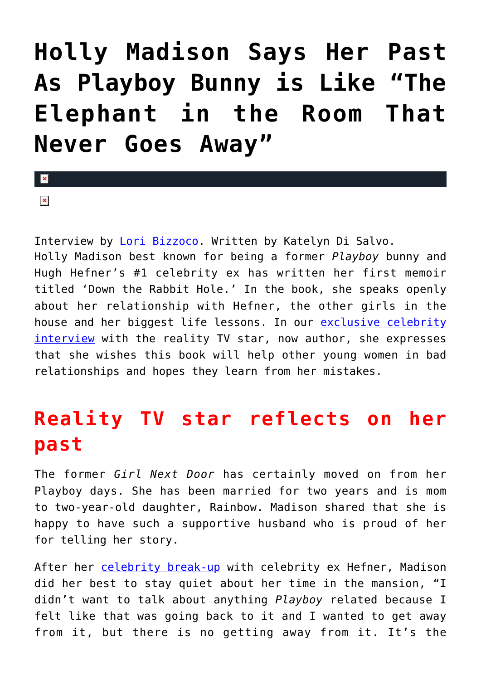## **[Holly Madison Says Her Past](https://cupidspulse.com/94278/holly-madison-playboy-bunny-hugh-hefner-memoir/) [As Playboy Bunny is Like "The](https://cupidspulse.com/94278/holly-madison-playboy-bunny-hugh-hefner-memoir/) [Elephant in the Room That](https://cupidspulse.com/94278/holly-madison-playboy-bunny-hugh-hefner-memoir/) [Never Goes Away"](https://cupidspulse.com/94278/holly-madison-playboy-bunny-hugh-hefner-memoir/)**

 $\pmb{\times}$ 

 $\overline{\mathbf{x}}$ 

Interview by [Lori Bizzoco.](http://cupidspulse.com/104596/lori-bizzoco/) Written by Katelyn Di Salvo. Holly Madison best known for being a former *Playboy* bunny and Hugh Hefner's #1 celebrity ex has written her first memoir titled 'Down the Rabbit Hole.' In the book, she speaks openly about her relationship with Hefner, the other girls in the house and her biggest life lessons. In our [exclusive celebrity](http://cupidspulse.com/exclusives/celebrity-interviews/) [interview](http://cupidspulse.com/exclusives/celebrity-interviews/) with the reality TV star, now author, she expresses that she wishes this book will help other young women in bad relationships and hopes they learn from her mistakes.

## **Reality TV star reflects on her past**

The former *Girl Next Door* has certainly moved on from her Playboy days. She has been married for two years and is mom to two-year-old daughter, Rainbow. Madison shared that she is happy to have such a supportive husband who is proud of her for telling her story.

After her [celebrity break-up](http://cupidspulse.com/celebrity-relationships/) with celebrity ex Hefner, Madison did her best to stay quiet about her time in the mansion, "I didn't want to talk about anything *Playboy* related because I felt like that was going back to it and I wanted to get away from it, but there is no getting away from it. It's the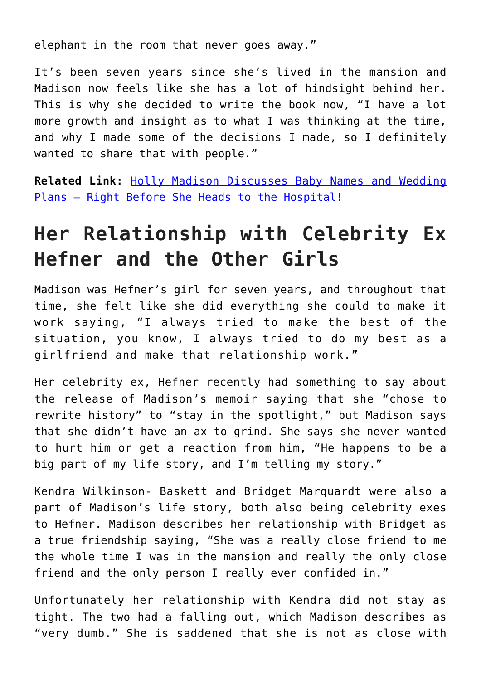elephant in the room that never goes away."

It's been seven years since she's lived in the mansion and Madison now feels like she has a lot of hindsight behind her. This is why she decided to write the book now, "I have a lot more growth and insight as to what I was thinking at the time, and why I made some of the decisions I made, so I definitely wanted to share that with people."

**Related Link:** [Holly Madison Discusses Baby Names and Wedding](http://cupidspulse.com/45992/holly-madison-baby-wedding/#j9eFwAmiqMs8mIqE.99) [Plans — Right Before She Heads to the Hospital!](http://cupidspulse.com/45992/holly-madison-baby-wedding/#j9eFwAmiqMs8mIqE.99)

## **Her Relationship with Celebrity Ex Hefner and the Other Girls**

Madison was Hefner's girl for seven years, and throughout that time, she felt like she did everything she could to make it work saying, "I always tried to make the best of the situation, you know, I always tried to do my best as a girlfriend and make that relationship work."

Her celebrity ex, Hefner recently had something to say about the release of Madison's memoir saying that she "chose to rewrite history" to "stay in the spotlight," but Madison says that she didn't have an ax to grind. She says she never wanted to hurt him or get a reaction from him, "He happens to be a big part of my life story, and I'm telling my story."

Kendra Wilkinson- Baskett and Bridget Marquardt were also a part of Madison's life story, both also being celebrity exes to Hefner. Madison describes her relationship with Bridget as a true friendship saying, "She was a really close friend to me the whole time I was in the mansion and really the only close friend and the only person I really ever confided in."

Unfortunately her relationship with Kendra did not stay as tight. The two had a falling out, which Madison describes as "very dumb." She is saddened that she is not as close with